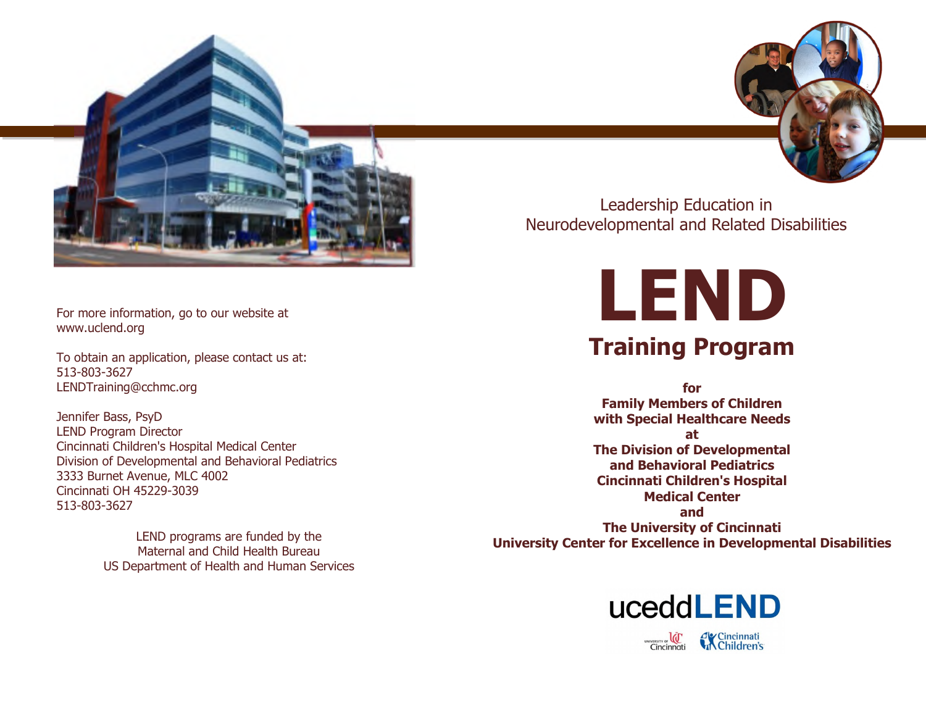

#### For more information, go to our website at www.uclend.org

To obtain an application, please contact us at: 513-803-3627 LENDTraining@cchmc.org

Jennifer Bass, PsyD LEND Program Director Cincinnati Children's Hospital Medical Center Division of Developmental and Behavioral Pediatrics 3333 Burnet Avenue, MLC 4002 Cincinnati OH 45229-3039 513-803-3627

> LEND programs are funded by the Maternal and Child Health Bureau US Department of Health and Human Services

Leadership Education in Neurodevelopmental and Related Disabilities

> **LEND Training Program**

**for Family Members of Children with Special Healthcare Needs**

**at The Division of Developmental and Behavioral Pediatrics Cincinnati Children's Hospital Medical Center and The University of Cincinnati University Center for Excellence in Developmental Disabilities**

# uceddLEND